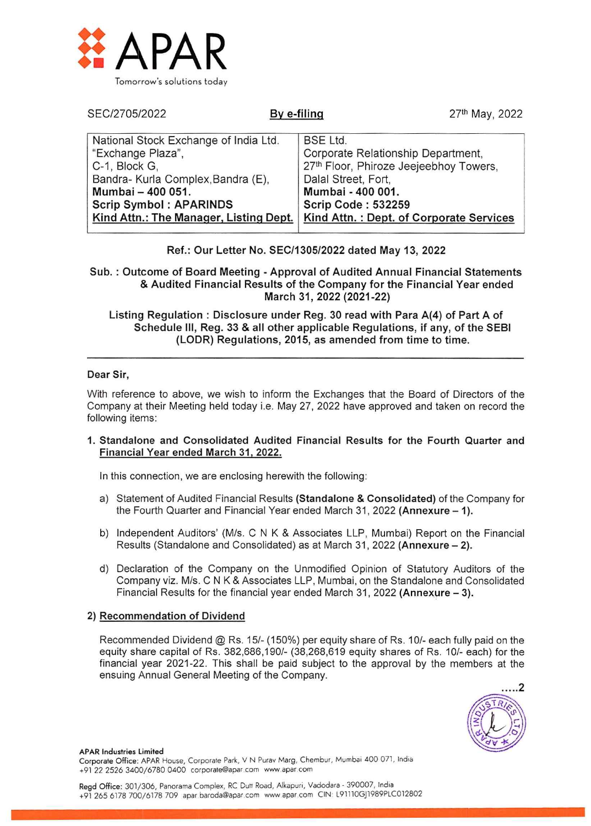

| SEC/2705/2022                                                                                                                                                                                                     | By e-filing                                                                              | 27th May, 2022                                                                                                          |
|-------------------------------------------------------------------------------------------------------------------------------------------------------------------------------------------------------------------|------------------------------------------------------------------------------------------|-------------------------------------------------------------------------------------------------------------------------|
| National Stock Exchange of India Ltd.<br>"Exchange Plaza",<br>C-1, Block G,<br>Bandra- Kurla Complex, Bandra (E),<br>Mumbai - 400 051.<br><b>Scrip Symbol: APARINDS</b><br>Kind Attn.: The Manager, Listing Dept. | <b>BSE Ltd.</b><br>Dalal Street, Fort,<br>Mumbai - 400 001.<br><b>Scrip Code: 532259</b> | Corporate Relationship Department,<br>27th Floor, Phiroze Jeejeebhoy Towers,<br>Kind Attn.: Dept. of Corporate Services |

### Ref.: Our Letter No. SEC/1305/2022 dated May 13, 2022

Sub. : Outcome of Board Meeting - Approval of Audited Annual Financial Statements & Audited Financial Results of the Company for the Financial Year ended March 31, 2022 (2021-22)

Listing Regulation : Disclosure under Reg. 30 read with Para A(4) of Part A of Schedule III, Reg. 33 & all other applicable Regulations, if any, of the SEBI (LODR) Regulations, 2015, as amended from time to time.

#### Dear Sir,

With reference to above, we wish to inform the Exchanges that the Board of Directors of the Company at their Meeting held today i.e. May 27, 2022 have approved and taken on record the following items:

1. Standalone and Consolidated Audited Financial Results for the Fourth Quarter and Financial Year ended March 31, 2022.

In this connection, we are enclosing herewith the following:

- a) Statement of Audited Financial Results (Standalone & Consolidated) of the Company for the Fourth Quarter and Financial Year ended March 31, 2022 (Annexure - 1).
- b) Independent Auditors' (M/s. C N K & Associates LLP, Mumbai) Report on the Financial Results (Standalone and Consolidated) as at March 31, 2022 (Annexure — 2).
- d) Declaration of the Company on the Unmodified Opinion of Statutory Auditors of the Company viz. M/s. C N K & Associates LLP, Mumbai, on the Standalone and Consolidated Financial Results for the financial year ended March 31, 2022 (Annexure — 3).

### 2) Recommendation of Dividend

Recommended Dividend @ Rs. 15/- (150%) per equity share of Rs. 10/- each fully paid on the equity share capital of Rs. 382,686,190/- (38,268,619 equity shares of Rs. 10/- each) for the financial year 2021-22. This shall be paid subject to the approval by the members at the ensuing Annual General Meeting of the Company.



APAR Industries Limited

Corporate Office: APAR House, Corporate Park, V N Purav Marg, Chembur, Mumbai 400 071, India +91 22 2526 3400/6780 0400 corporate@apar.com www.apar.com

Regd Office: 301/306, Panorama Complex, RC Dutt Road, Alkapuri, Vadodara - 390007, India +91 265 6178 700/6178 709 apar.baroda@apar.com www apar.com CIN: L91110Gj1989PLC012802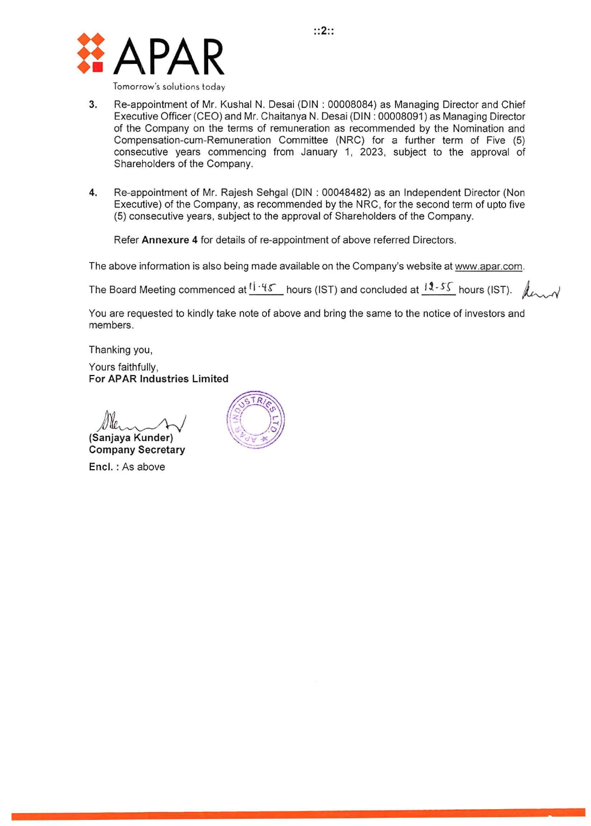

- 3. Re-appointment of Mr. Kushal N. Desai (DIN : 00008084) as Managing Director and Chief Executive Officer (CEO) and Mr. Chaitanya N. Desai (DIN : 00008091) as Managing Director of the Company on the terms of remuneration as recommended by the Nomination and Compensation-cum-Remuneration Committee (NRC) for a further term of Five (5) consecutive years commencing from January 1, 2023, subject to the approval of Shareholders of the Company.
- 4. Re-appointment of Mr. Rajesh Sehgal (DIN : 00048482) as an Independent Director (Non Executive) of the Company, as recommended by the NRC, for the second term of upto five (5) consecutive years, subject to the approval of Shareholders of the Company.

Refer Annexure 4 for details of re-appointment of above referred Directors.

The above information is also being made available on the Company's website at www.apar.com.

The Board Meeting commenced at  $\frac{11.45}{}$  hours (IST) and concluded at  $\frac{12.55}{}$  hours (IST).  $\,$ 

You are requested to kindly take note of above and bring the same to the notice of investors and members.

Thanking you,

Yours faithfully, For APAR Industries Limited

(Sanjaya Kunder)

Company Secretary Encl. : As above

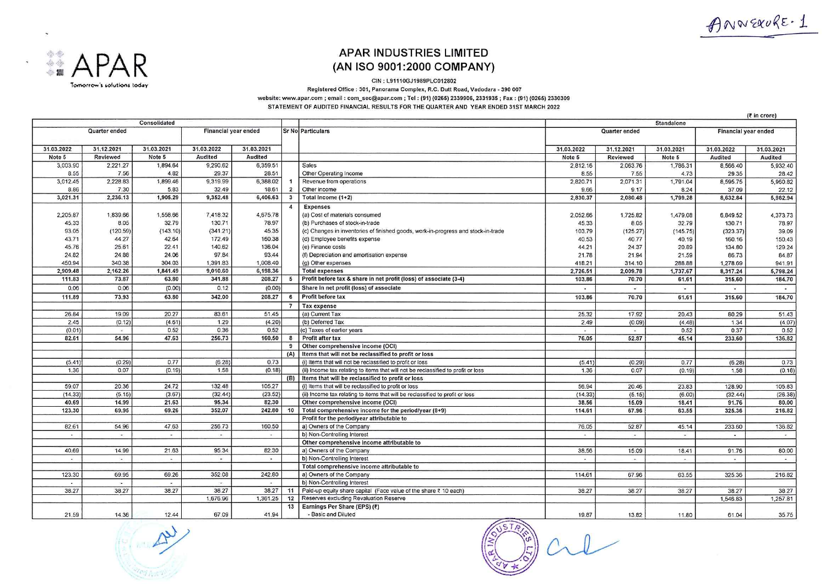ANNEXURE-1

(₹ in crore)



## **APAR INDUSTRIES LIMITED** (AN ISO 9001:2000 COMPANY)

CIN: L91110GJ1989PLC012802

Registered Office : 301, Panorama Complex, R.C. Dutt Road, Vadodara - 390 007

website: www.apar.com; email: com\_sec@apar.com; Tel: (91) (0265) 2339906, 2331935; Fax: (91) (0265) 2330309 STATEMENT OF AUDITED FINANCIAL RESULTS FOR THE QUARTER AND YEAR ENDED 31ST MARCH 2022

| Consolidated |                            |                |                             |                      |                | Standalone                                                                        |                |                |                          |                      |                      |
|--------------|----------------------------|----------------|-----------------------------|----------------------|----------------|-----------------------------------------------------------------------------------|----------------|----------------|--------------------------|----------------------|----------------------|
|              | Quarter ended              |                | <b>Financial year ended</b> |                      |                | <b>Sr No Particulars</b>                                                          | Quarter ended  |                |                          | Financial year ended |                      |
| 31.03.2022   | 31.12.2021                 | 31.03.2021     | 31.03.2022                  | 31.03.2021           |                |                                                                                   | 31.03.2022     | 31.12.2021     | 31.03.2021               | 31.03.2022           | 31.03.2021           |
| Note 5       | Reviewed                   | Note 5         | Audited                     | <b>Audited</b>       |                |                                                                                   | Note 5         | Reviewed       | Note 5                   | Audited              | Audited              |
| 3,003.90     | 2.221.27                   | 1,894.64       | 9,290.62                    | 6,359.51             |                | <b>Sales</b>                                                                      | 2,812.16       | 2,063.76       | 1,786.31                 | 8,566.40             | 5,932.40             |
| 8.55         | 7.56                       | 4.82           | 29.37                       | 28.51                |                | Other Operating Income                                                            | 8.55           | 7.55           | 4.73                     | 29.35                | 28.42                |
| 3,012.45     | 2,228.83                   | 1,899.46       | 9.319.99                    | 6,388.02             |                | Revenue from operations                                                           | 2,820.71       | 2.071.31       | 1,791.04                 | 8,595.75             | 5,960.82             |
| 8.86         | 7.30                       | 5.83           | 32.49                       | 18.61                |                | Other income                                                                      | 9.66           | 9.17           | 8.24                     | 37.09                | 22.12                |
| 3,021.31     | 2,236.13                   | 1,905.29       | 9,352.48                    | 6,406.63             | $\mathbf{3}$   | Total Income (1+2)                                                                | 2,830.37       | 2,080.48       | 1,799.28                 | 8,632.84             | 5,982.94             |
|              |                            |                |                             |                      | $\overline{4}$ | <b>Expenses</b>                                                                   |                |                |                          |                      |                      |
| 2,205.87     | 1,839.66                   | 1,558.66       | 7,418.32                    | 4,675.78             |                | (a) Cost of materials consumed                                                    | 2,052.66       | 1,725.82       | 1,479.08                 | 6,849.52             | 4,373.73             |
| 45.33        | 8.05                       | 32.79          | 130.71                      | 78.97                |                | (b) Purchases of stock-in-trade                                                   | 45.33          | 8.05           | 32.79                    | 130.71               | 78.97                |
| 93.05        | (120.59)                   | (143.10)       | (341.21)                    | 45.35                |                | (c) Changes in inventories of finished goods, work-in-progress and stock-in-trade | 103.79         | (125.27)       | (145.75)                 | (323.37)             | 39.09                |
| 43.71        | 44.27                      | 42.64          | 172.49                      | 160.38               |                | (d) Employee benefits expense                                                     | 40.53          | 40.77          | 40.19                    | 160.16               | 150.43               |
| 45.76        | 25.61                      | 22.41          | 140.62                      | 136.04               |                | (e) Finance costs                                                                 | 44.21          | 24.37          | 20.89                    | 134.80               | 129.24               |
| 24.82        | 24.88                      | 24.06          | 97.84                       | 93.44                |                | (f) Depreciation and amortisation expense                                         | 21.78          | 21.94          | 21.59                    | 86.73                | 84.87                |
| 450.94       | 340.38                     | 304.03         | 1,391.83                    | 1,008.40             |                | (g) Other expenses                                                                | 418.21         | 314.10         | 288.88                   | 1,278.69             | 941.91               |
| 2,909.48     | 2,162.26                   | 1,841.49       | 9,010.60                    | 6,198.36             |                | <b>Total expenses</b>                                                             | 2,726.51       | 2,009.78       | 1,737.67                 | 8,317.24             | 5,798.24             |
| 111.83       | 73.87                      | 63.80          | 341.88                      | 208.27               | 5              | Profit before tax & share in net profit (loss) of associate (3-4)                 | 103.86         | 70.70          | 61.61                    | 315.60               | 184.70               |
| 0.06         | 0.06                       | (0.00)         | 0.12                        | (0.00)               |                | Share in net profit (loss) of associate                                           | $\sim$         | $\sim$         | $\overline{\phantom{0}}$ | $\sim$               | $\sim$               |
| 111.89       | 73.93                      | 63.80          | 342.00                      | 208.27               | 6              | Profit before tax                                                                 | 103.86         | 70.70          | 61.61                    | 315.60               | 184.70               |
|              |                            |                |                             |                      | $\overline{7}$ | <b>Tax expense</b>                                                                |                |                |                          |                      |                      |
| 26.84        | 19.09                      | 20.27          | 83.61                       | 51.45                |                | (a) Current Tax                                                                   | 25.32          | 17.92          | 20.43                    | 80.29                | 51.43                |
| 2.45         | (0.12)                     | (4.61)         | 1.29                        | (4.20)               |                | (b) Deferred Tax                                                                  | 2.49           | (0.09)         | (4.48)                   | 1.34                 | (4.07)               |
| (0.01)       | $\ddot{\phantom{1}}$       | 0.52           | 0.36                        | 0.52                 |                | (c) Taxes of earlier years                                                        | $\overline{a}$ | $\cdot$        | 0.52                     | 0.37                 | 0.52                 |
| 82.61        | 54.96                      | 47.63          | 256.73                      | 160.50               | 8              | Profit after tax                                                                  | 76.05          | 52.87          | 45.14                    | 233.60               | 136.82               |
|              |                            |                |                             |                      | 9              | Other comprehensive income (OCI)                                                  |                |                |                          |                      |                      |
|              |                            |                |                             |                      | (A)            | Items that will not be reclassified to profit or loss                             |                |                |                          |                      |                      |
| (5.41)       | (0.29)                     | 0.77           | (6.28)                      | 0.73                 |                | (i) Items that will not be reclassified to profit or loss                         | (5.41)         | (0.29)         | 0.77                     | (6.28)               | 0.73                 |
| 1.36         | 0.07                       | (0.19)         | 1.58                        | (0.18)               |                | (ii) Income tax relating to items that will not be reclassified to profit or loss | 1.36           | 0.07           | (0.19)                   | 1.58                 | (0.18)               |
|              |                            |                |                             |                      |                | (B) Items that will be reclassified to profit or loss                             |                |                |                          |                      |                      |
| 59.07        | 20.36                      | 24.72          | 132.48                      | 105.27               |                | (i) Items that will be reclassified to profit or loss                             | 56.94          | 20.46          | 23.83                    | 128.90               | 105.83               |
| (14.33)      | (5.15)                     | (3.67)         | (32.44)                     | (23.52)              |                | (ii) Income tax relating to items that will be reclassified to profit or loss     | (14.33)        | (5.15)         | (6.00)                   | (32.44)              | (26.38)              |
| 40.69        | 14.99                      | 21.63          | 95.34                       | 82.30                |                | Other comprehensive income (OCI)                                                  | 38.56          | 15.09          | 18.41                    | 91.76                | 80.00                |
| 123.30       | 69.95                      | 69.26          | 352.07                      | 242.80               | 10             | Total comprehensive income for the period/year (8+9)                              | 114.61         | 67.96          | 63.55                    | 325.36               | 216.82               |
|              |                            |                |                             |                      |                | Profit for the period/year attributable to                                        |                |                |                          |                      |                      |
| 82.61        | 54.96                      | 47.63          | 256.73                      | 160.50               |                | a) Owners of the Company                                                          | 76.05          | 52.87          | 45.14                    | 233.60               | 136.82               |
| $\sim$       | $\sim$                     | $\sim$         | $\sim$                      | $\sim$               |                | b) Non-Controlling Interest                                                       | $\sim$         | $\sim$         | $\sim$                   | $\ddot{ }$           | $\omega$             |
|              |                            |                |                             |                      |                | Other comprehensive income attributable to                                        |                |                |                          |                      |                      |
| 40.69        | 14.99                      | 21.63          | 95.34                       | 82.30                |                | a) Owners of the Company                                                          | 38.56          | 15.09          | 18.41                    | 91.76                | 80.00                |
| ÷            | $\bullet$                  | $\overline{a}$ | $\bullet$                   | $\cdot$              |                | b) Non-Controlling Interest                                                       | $\sim$         | $\overline{a}$ | $\sim$                   | $\sim$               | $\ddot{\phantom{1}}$ |
|              |                            |                |                             |                      |                | Total comprehensive income attributable to                                        |                |                |                          |                      |                      |
| 123.30       | 69.95                      | 69.26          | 352.08                      | 242.80               |                | a) Owners of the Company                                                          | 114.61         | 67.96          | 63.55                    | 325.36               | 216.82               |
|              | $\mathcal{C}(\mathcal{C})$ |                | $\sim$                      | $\ddot{\phantom{1}}$ |                | b) Non-Controlling Interest                                                       |                |                |                          |                      |                      |
| 38.27        | 38.27                      | 38.27          | 38.27                       | 38.27                | 11             | Paid-up equity share capital (Face value of the share ₹ 10 each)                  | 38.27          | 38.27          | 38.27                    | 38.27                | 38.27                |
|              |                            |                | 1,676.96                    | 1,361.25             | 12             | Reserves excluding Revaluation Reserve                                            |                |                |                          | 1,546.83             | 1,257.81             |
|              |                            |                |                             |                      | 13             | Earnings Per Share (EPS) (₹)                                                      |                |                |                          |                      |                      |
| 21.59        | 14.36                      | 12.44          | 67.09                       | 41.94                |                | - Basic and Diluted                                                               | 19.87          | 13.82          | 11.80                    | 61.04                | 35.75                |



al